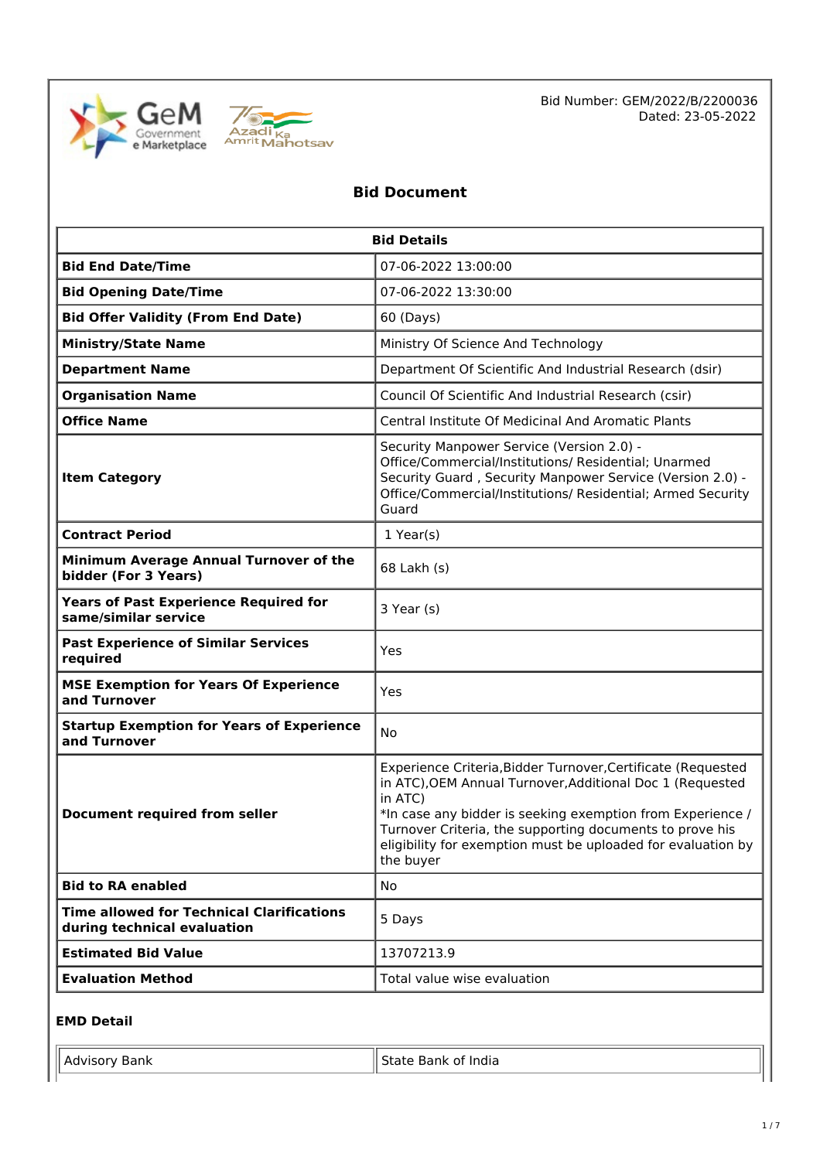



Bid Number: GEM/2022/B/2200036 Dated: 23-05-2022

# **Bid Document**

| <b>Bid Details</b>                                                              |                                                                                                                                                                                                                                                                                                                                             |  |  |
|---------------------------------------------------------------------------------|---------------------------------------------------------------------------------------------------------------------------------------------------------------------------------------------------------------------------------------------------------------------------------------------------------------------------------------------|--|--|
| <b>Bid End Date/Time</b>                                                        | 07-06-2022 13:00:00                                                                                                                                                                                                                                                                                                                         |  |  |
| <b>Bid Opening Date/Time</b>                                                    | 07-06-2022 13:30:00                                                                                                                                                                                                                                                                                                                         |  |  |
| <b>Bid Offer Validity (From End Date)</b>                                       | 60 (Days)                                                                                                                                                                                                                                                                                                                                   |  |  |
| <b>Ministry/State Name</b>                                                      | Ministry Of Science And Technology                                                                                                                                                                                                                                                                                                          |  |  |
| <b>Department Name</b>                                                          | Department Of Scientific And Industrial Research (dsir)                                                                                                                                                                                                                                                                                     |  |  |
| <b>Organisation Name</b>                                                        | Council Of Scientific And Industrial Research (csir)                                                                                                                                                                                                                                                                                        |  |  |
| <b>Office Name</b><br><b>Central Institute Of Medicinal And Aromatic Plants</b> |                                                                                                                                                                                                                                                                                                                                             |  |  |
| <b>Item Category</b>                                                            | Security Manpower Service (Version 2.0) -<br>Office/Commercial/Institutions/ Residential; Unarmed<br>Security Guard, Security Manpower Service (Version 2.0) -<br>Office/Commercial/Institutions/ Residential; Armed Security<br>Guard                                                                                                      |  |  |
| <b>Contract Period</b>                                                          | $1$ Year(s)                                                                                                                                                                                                                                                                                                                                 |  |  |
| Minimum Average Annual Turnover of the<br>bidder (For 3 Years)                  | 68 Lakh (s)                                                                                                                                                                                                                                                                                                                                 |  |  |
| <b>Years of Past Experience Required for</b><br>same/similar service            | 3 Year (s)                                                                                                                                                                                                                                                                                                                                  |  |  |
| <b>Past Experience of Similar Services</b><br>required                          | Yes                                                                                                                                                                                                                                                                                                                                         |  |  |
| <b>MSE Exemption for Years Of Experience</b><br>and Turnover                    | Yes                                                                                                                                                                                                                                                                                                                                         |  |  |
| <b>Startup Exemption for Years of Experience</b><br>No<br>and Turnover          |                                                                                                                                                                                                                                                                                                                                             |  |  |
| <b>Document required from seller</b>                                            | Experience Criteria, Bidder Turnover, Certificate (Requested<br>in ATC), OEM Annual Turnover, Additional Doc 1 (Requested<br>in ATC)<br>*In case any bidder is seeking exemption from Experience /<br>Turnover Criteria, the supporting documents to prove his<br>eligibility for exemption must be uploaded for evaluation by<br>the buyer |  |  |
| <b>Bid to RA enabled</b>                                                        | No                                                                                                                                                                                                                                                                                                                                          |  |  |
| <b>Time allowed for Technical Clarifications</b><br>during technical evaluation | 5 Days                                                                                                                                                                                                                                                                                                                                      |  |  |
| <b>Estimated Bid Value</b>                                                      | 13707213.9                                                                                                                                                                                                                                                                                                                                  |  |  |
| <b>Evaluation Method</b>                                                        | Total value wise evaluation                                                                                                                                                                                                                                                                                                                 |  |  |

## **EMD Detail**

| Advisor<br>Bank | <br>'ndia<br>11 K<br>. הר |
|-----------------|---------------------------|
|                 |                           |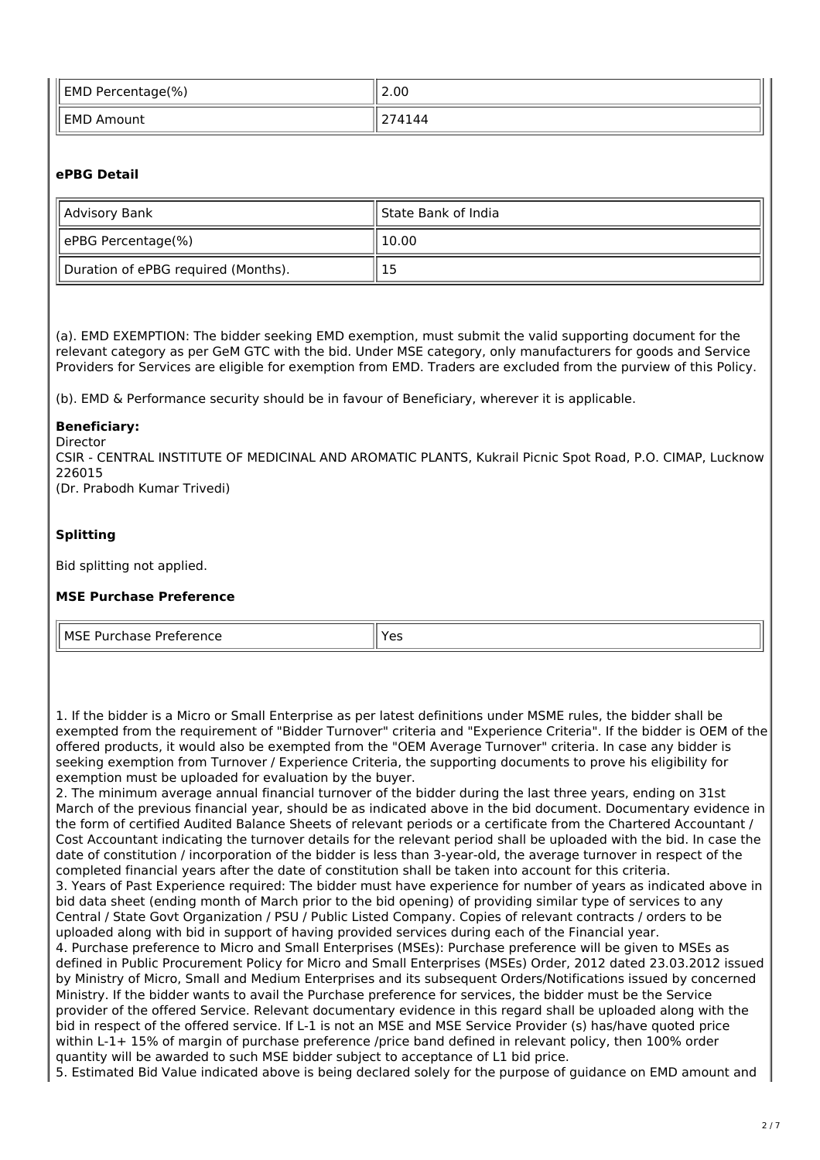| <b>EMD Percentage(%)</b> | 2.00        |
|--------------------------|-------------|
| <b>EMD Amount</b>        | 74144<br>~- |

# **ePBG Detail**

| Advisory Bank                       | ll State Bank of India |
|-------------------------------------|------------------------|
| ePBG Percentage(%)                  | 10.00                  |
| Duration of ePBG required (Months). | 15                     |

(a). EMD EXEMPTION: The bidder seeking EMD exemption, must submit the valid supporting document for the relevant category as per GeM GTC with the bid. Under MSE category, only manufacturers for goods and Service Providers for Services are eligible for exemption from EMD. Traders are excluded from the purview of this Policy.

(b). EMD & Performance security should be in favour of Beneficiary, wherever it is applicable.

## **Beneficiary:**

Director

CSIR - CENTRAL INSTITUTE OF MEDICINAL AND AROMATIC PLANTS, Kukrail Picnic Spot Road, P.O. CIMAP, Lucknow 226015 (Dr. Prabodh Kumar Trivedi)

## **Splitting**

Bid splitting not applied.

## **MSE Purchase Preference**

MSE Purchase Preference  $\|\gamma_{\text{ES}}\|$ 

1. If the bidder is a Micro or Small Enterprise as per latest definitions under MSME rules, the bidder shall be exempted from the requirement of "Bidder Turnover" criteria and "Experience Criteria". If the bidder is OEM of the offered products, it would also be exempted from the "OEM Average Turnover" criteria. In case any bidder is seeking exemption from Turnover / Experience Criteria, the supporting documents to prove his eligibility for exemption must be uploaded for evaluation by the buyer.

2. The minimum average annual financial turnover of the bidder during the last three years, ending on 31st March of the previous financial year, should be as indicated above in the bid document. Documentary evidence in the form of certified Audited Balance Sheets of relevant periods or a certificate from the Chartered Accountant / Cost Accountant indicating the turnover details for the relevant period shall be uploaded with the bid. In case the date of constitution / incorporation of the bidder is less than 3-year-old, the average turnover in respect of the completed financial years after the date of constitution shall be taken into account for this criteria. 3. Years of Past Experience required: The bidder must have experience for number of years as indicated above in bid data sheet (ending month of March prior to the bid opening) of providing similar type of services to any Central / State Govt Organization / PSU / Public Listed Company. Copies of relevant contracts / orders to be uploaded along with bid in support of having provided services during each of the Financial year. 4. Purchase preference to Micro and Small Enterprises (MSEs): Purchase preference will be given to MSEs as defined in Public Procurement Policy for Micro and Small Enterprises (MSEs) Order, 2012 dated 23.03.2012 issued by Ministry of Micro, Small and Medium Enterprises and its subsequent Orders/Notifications issued by concerned Ministry. If the bidder wants to avail the Purchase preference for services, the bidder must be the Service

provider of the offered Service. Relevant documentary evidence in this regard shall be uploaded along with the bid in respect of the offered service. If L-1 is not an MSE and MSE Service Provider (s) has/have quoted price within L-1+ 15% of margin of purchase preference /price band defined in relevant policy, then 100% order quantity will be awarded to such MSE bidder subject to acceptance of L1 bid price.

5. Estimated Bid Value indicated above is being declared solely for the purpose of guidance on EMD amount and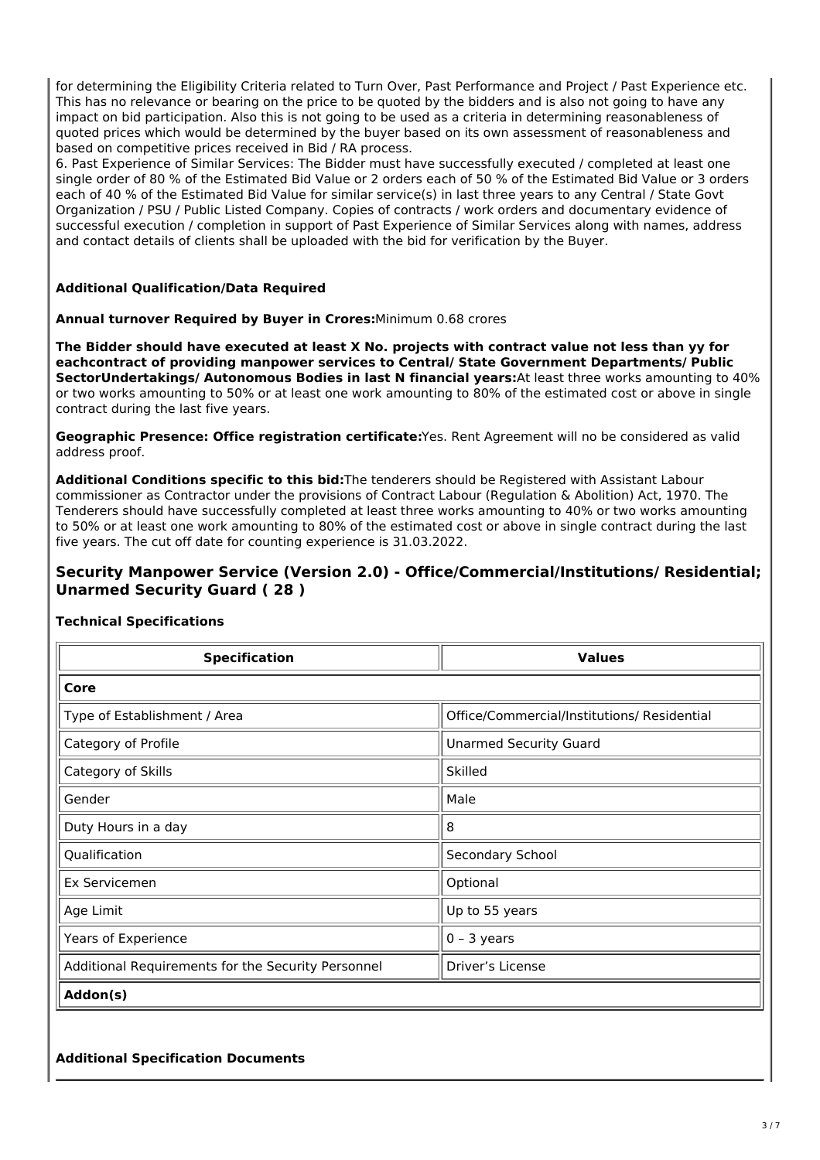for determining the Eligibility Criteria related to Turn Over, Past Performance and Project / Past Experience etc. This has no relevance or bearing on the price to be quoted by the bidders and is also not going to have any impact on bid participation. Also this is not going to be used as a criteria in determining reasonableness of quoted prices which would be determined by the buyer based on its own assessment of reasonableness and based on competitive prices received in Bid / RA process.

6. Past Experience of Similar Services: The Bidder must have successfully executed / completed at least one single order of 80 % of the Estimated Bid Value or 2 orders each of 50 % of the Estimated Bid Value or 3 orders each of 40 % of the Estimated Bid Value for similar service(s) in last three years to any Central / State Govt Organization / PSU / Public Listed Company. Copies of contracts / work orders and documentary evidence of successful execution / completion in support of Past Experience of Similar Services along with names, address and contact details of clients shall be uploaded with the bid for verification by the Buyer.

## **Additional Qualification/Data Required**

#### **Annual turnover Required by Buyer in Crores:**Minimum 0.68 crores

**The Bidder should have executed at least X No. projects with contract value not less than yy for eachcontract of providing manpower services to Central/ State Government Departments/ Public SectorUndertakings/ Autonomous Bodies in last N financial years:**At least three works amounting to 40% or two works amounting to 50% or at least one work amounting to 80% of the estimated cost or above in single contract during the last five years.

**Geographic Presence: Office registration certificate:**Yes. Rent Agreement will no be considered as valid address proof.

**Additional Conditions specific to this bid:**The tenderers should be Registered with Assistant Labour commissioner as Contractor under the provisions of Contract Labour (Regulation & Abolition) Act, 1970. The Tenderers should have successfully completed at least three works amounting to 40% or two works amounting to 50% or at least one work amounting to 80% of the estimated cost or above in single contract during the last five years. The cut off date for counting experience is 31.03.2022.

# **Security Manpower Service (Version 2.0) - Office/Commercial/Institutions/ Residential; Unarmed Security Guard ( 28 )**

| <b>Specification</b>                               | <b>Values</b>                               |  |  |
|----------------------------------------------------|---------------------------------------------|--|--|
| Core                                               |                                             |  |  |
| Type of Establishment / Area                       | Office/Commercial/Institutions/ Residential |  |  |
| Category of Profile                                | <b>Unarmed Security Guard</b>               |  |  |
| Category of Skills                                 | Skilled                                     |  |  |
| Gender                                             | Male                                        |  |  |
| Duty Hours in a day                                | 8                                           |  |  |
| Qualification                                      | Secondary School                            |  |  |
| Ex Servicemen                                      | Optional                                    |  |  |
| Age Limit                                          | Up to 55 years                              |  |  |
| Years of Experience                                | $0 - 3$ years                               |  |  |
| Additional Requirements for the Security Personnel | Driver's License                            |  |  |
| Addon(s)                                           |                                             |  |  |

## **Technical Specifications**

# **Additional Specification Documents**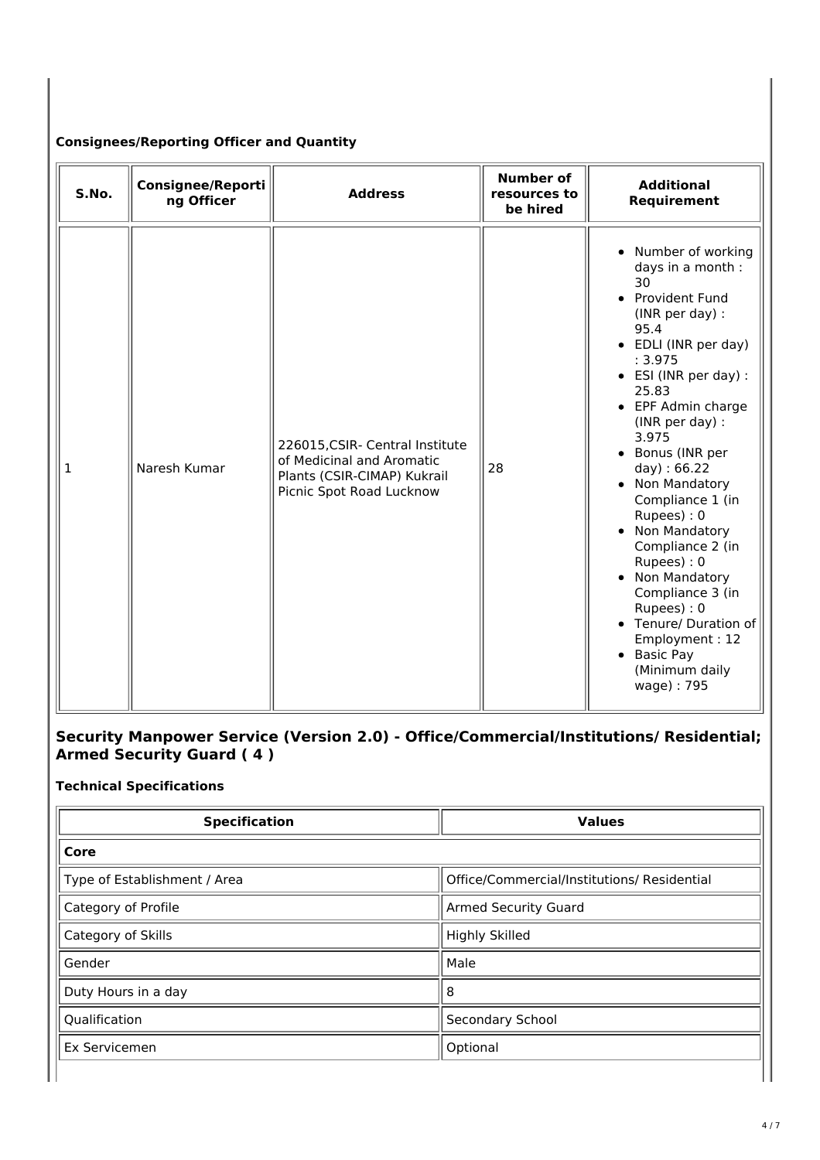# **Consignees/Reporting Officer and Quantity**

| S.No. | <b>Consignee/Reporti</b><br>ng Officer | <b>Address</b>                                                                                                          | <b>Number of</b><br>resources to<br>be hired | <b>Additional</b><br>Requirement                                                                                                                                                                                                                                                                                                                                                                                                                                                                                  |
|-------|----------------------------------------|-------------------------------------------------------------------------------------------------------------------------|----------------------------------------------|-------------------------------------------------------------------------------------------------------------------------------------------------------------------------------------------------------------------------------------------------------------------------------------------------------------------------------------------------------------------------------------------------------------------------------------------------------------------------------------------------------------------|
| 1     | Naresh Kumar                           | 226015, CSIR- Central Institute<br>of Medicinal and Aromatic<br>Plants (CSIR-CIMAP) Kukrail<br>Picnic Spot Road Lucknow | 28                                           | • Number of working<br>days in a month :<br>30<br>• Provident Fund<br>(INR per day) :<br>95.4<br>• EDLI (INR per day)<br>: 3.975<br>• ESI (INR per day) :<br>25.83<br>• EPF Admin charge<br>(INR per day) :<br>3.975<br>• Bonus (INR per<br>day) : 66.22<br>• Non Mandatory<br>Compliance 1 (in<br>Rupees): 0<br>• Non Mandatory<br>Compliance 2 (in<br>Rupees): 0<br>• Non Mandatory<br>Compliance 3 (in<br>Rupees): 0<br>• Tenure/ Duration of<br>Employment: 12<br>• Basic Pay<br>(Minimum daily<br>wage): 795 |

# **Security Manpower Service (Version 2.0) - Office/Commercial/Institutions/ Residential; Armed Security Guard ( 4 )**

# **Technical Specifications**

| <b>Specification</b>         | <b>Values</b>                               |  |  |
|------------------------------|---------------------------------------------|--|--|
| Core                         |                                             |  |  |
| Type of Establishment / Area | Office/Commercial/Institutions/ Residential |  |  |
| Category of Profile          | <b>Armed Security Guard</b>                 |  |  |
| Category of Skills           | <b>Highly Skilled</b>                       |  |  |
| Gender                       | Male                                        |  |  |
| Duty Hours in a day          | 8                                           |  |  |
| Qualification                | Secondary School                            |  |  |
| Ex Servicemen                | Optional                                    |  |  |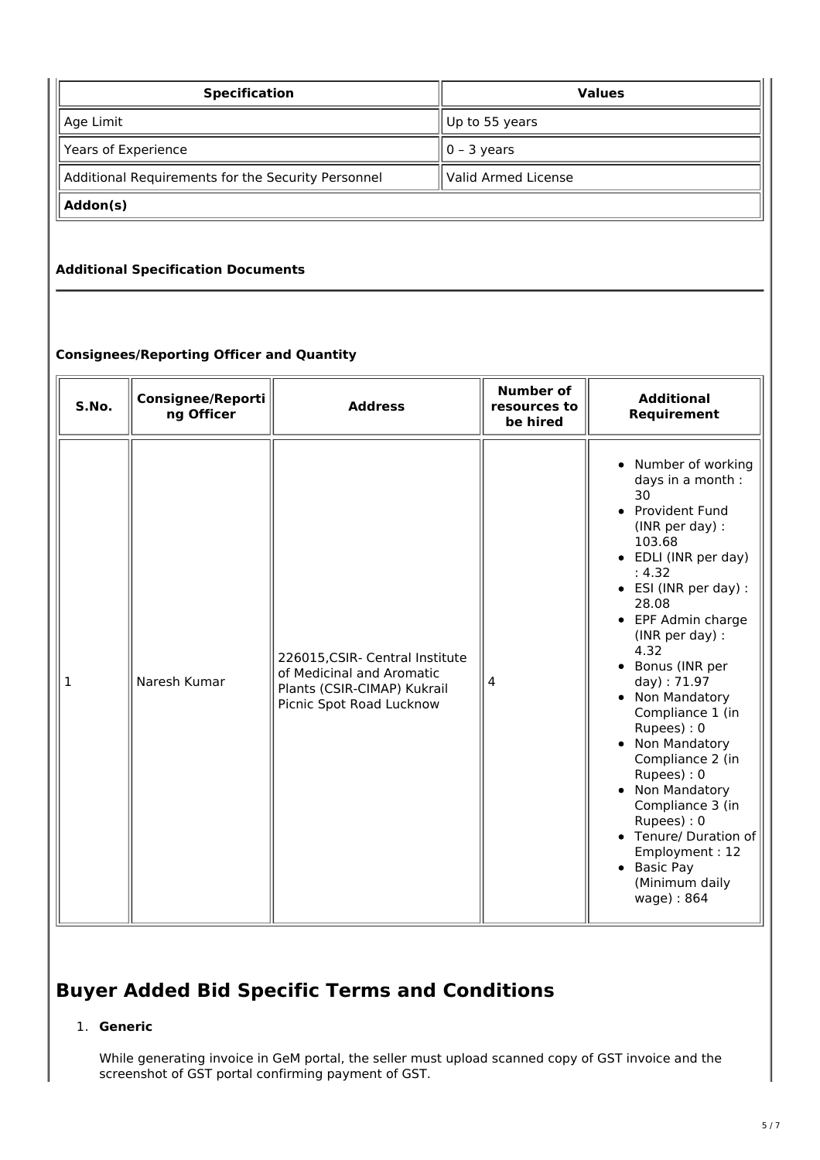| <b>Specification</b>                               | <b>Values</b>       |  |  |
|----------------------------------------------------|---------------------|--|--|
| Age Limit                                          | Up to 55 years      |  |  |
| Years of Experience                                | $ 0 - 3$ years      |  |  |
| Additional Requirements for the Security Personnel | Valid Armed License |  |  |
| Addon(s)                                           |                     |  |  |

# **Additional Specification Documents**

# **Consignees/Reporting Officer and Quantity**

| S.No. | <b>Consignee/Reporti</b><br>ng Officer | <b>Address</b>                                                                                                          | <b>Number of</b><br>resources to<br>be hired | <b>Additional</b><br>Requirement                                                                                                                                                                                                                                                                                                                                                                                                                                                                                               |
|-------|----------------------------------------|-------------------------------------------------------------------------------------------------------------------------|----------------------------------------------|--------------------------------------------------------------------------------------------------------------------------------------------------------------------------------------------------------------------------------------------------------------------------------------------------------------------------------------------------------------------------------------------------------------------------------------------------------------------------------------------------------------------------------|
| 1     | Naresh Kumar                           | 226015, CSIR- Central Institute<br>of Medicinal and Aromatic<br>Plants (CSIR-CIMAP) Kukrail<br>Picnic Spot Road Lucknow | 4                                            | Number of working<br>$\bullet$<br>days in a month :<br>30<br>• Provident Fund<br>(INR per day) :<br>103.68<br>• EDLI (INR per day)<br>: 4.32<br>• ESI (INR per day) :<br>28.08<br>• EPF Admin charge<br>(INR per day) :<br>4.32<br>Bonus (INR per<br>day): 71.97<br>Non Mandatory<br>Compliance 1 (in<br>Rupees): 0<br>Non Mandatory<br>Compliance 2 (in<br>Rupees): 0<br>Non Mandatory<br>Compliance 3 (in<br>Rupees): 0<br>Tenure/ Duration of<br>$\bullet$<br>Employment: 12<br>• Basic Pay<br>(Minimum daily<br>wage): 864 |

# **Buyer Added Bid Specific Terms and Conditions**

# 1. **Generic**

While generating invoice in GeM portal, the seller must upload scanned copy of GST invoice and the screenshot of GST portal confirming payment of GST.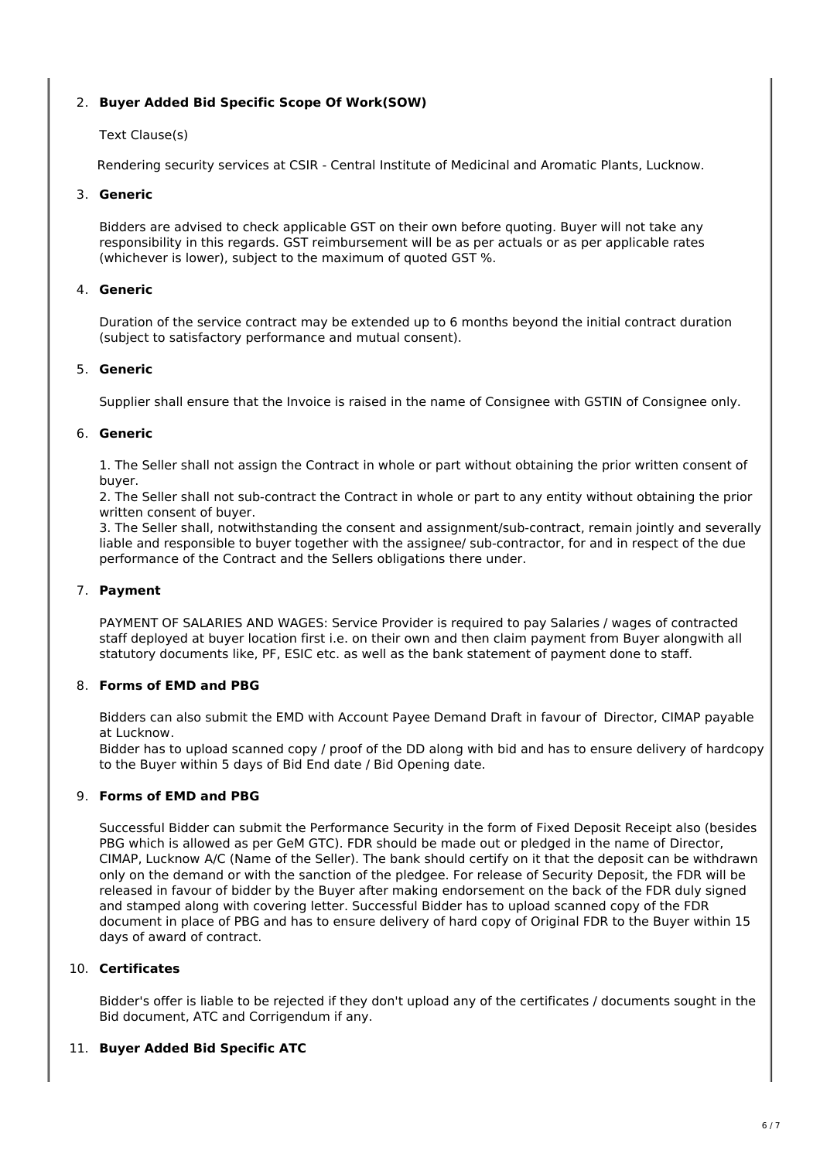# 2. **Buyer Added Bid Specific Scope Of Work(SOW)**

# Text Clause(s)

Rendering security services at CSIR - Central Institute of Medicinal and Aromatic Plants, Lucknow.

#### 3. **Generic**

Bidders are advised to check applicable GST on their own before quoting. Buyer will not take any responsibility in this regards. GST reimbursement will be as per actuals or as per applicable rates (whichever is lower), subject to the maximum of quoted GST %.

## 4. **Generic**

Duration of the service contract may be extended up to 6 months beyond the initial contract duration (subject to satisfactory performance and mutual consent).

# 5. **Generic**

Supplier shall ensure that the Invoice is raised in the name of Consignee with GSTIN of Consignee only.

#### 6. **Generic**

1. The Seller shall not assign the Contract in whole or part without obtaining the prior written consent of buyer.

2. The Seller shall not sub-contract the Contract in whole or part to any entity without obtaining the prior written consent of buyer.

3. The Seller shall, notwithstanding the consent and assignment/sub-contract, remain jointly and severally liable and responsible to buyer together with the assignee/ sub-contractor, for and in respect of the due performance of the Contract and the Sellers obligations there under.

## 7. **Payment**

PAYMENT OF SALARIES AND WAGES: Service Provider is required to pay Salaries / wages of contracted staff deployed at buyer location first i.e. on their own and then claim payment from Buyer alongwith all statutory documents like, PF, ESIC etc. as well as the bank statement of payment done to staff.

# 8. **Forms of EMD and PBG**

Bidders can also submit the EMD with Account Payee Demand Draft in favour of Director, CIMAP payable at Lucknow.

Bidder has to upload scanned copy / proof of the DD along with bid and has to ensure delivery of hardcopy to the Buyer within 5 days of Bid End date / Bid Opening date.

## 9. **Forms of EMD and PBG**

Successful Bidder can submit the Performance Security in the form of Fixed Deposit Receipt also (besides PBG which is allowed as per GeM GTC). FDR should be made out or pledged in the name of Director, CIMAP, Lucknow A/C (Name of the Seller). The bank should certify on it that the deposit can be withdrawn only on the demand or with the sanction of the pledgee. For release of Security Deposit, the FDR will be released in favour of bidder by the Buyer after making endorsement on the back of the FDR duly signed and stamped along with covering letter. Successful Bidder has to upload scanned copy of the FDR document in place of PBG and has to ensure delivery of hard copy of Original FDR to the Buyer within 15 days of award of contract.

#### 10. **Certificates**

Bidder's offer is liable to be rejected if they don't upload any of the certificates / documents sought in the Bid document, ATC and Corrigendum if any.

## 11. **Buyer Added Bid Specific ATC**